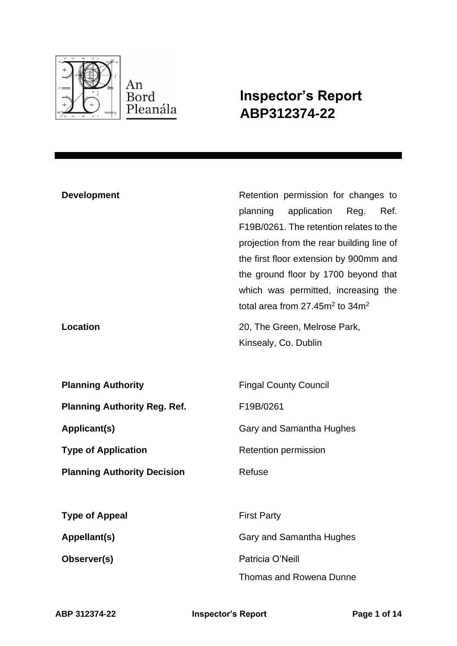

# **Inspector's Report ABP312374-22**

| <b>Development</b>                  | Retention permission for changes to<br>application<br>planning<br>Reg.<br>Ref.<br>F19B/0261. The retention relates to the<br>projection from the rear building line of<br>the first floor extension by 900mm and<br>the ground floor by 1700 beyond that<br>which was permitted, increasing the<br>total area from 27.45m <sup>2</sup> to 34m <sup>2</sup> |
|-------------------------------------|------------------------------------------------------------------------------------------------------------------------------------------------------------------------------------------------------------------------------------------------------------------------------------------------------------------------------------------------------------|
| <b>Location</b>                     | 20, The Green, Melrose Park,<br>Kinsealy, Co. Dublin                                                                                                                                                                                                                                                                                                       |
| <b>Planning Authority</b>           | <b>Fingal County Council</b>                                                                                                                                                                                                                                                                                                                               |
| <b>Planning Authority Reg. Ref.</b> | F19B/0261                                                                                                                                                                                                                                                                                                                                                  |
| Applicant(s)                        | Gary and Samantha Hughes                                                                                                                                                                                                                                                                                                                                   |
| <b>Type of Application</b>          | <b>Retention permission</b>                                                                                                                                                                                                                                                                                                                                |
| <b>Planning Authority Decision</b>  | Refuse                                                                                                                                                                                                                                                                                                                                                     |
| <b>Type of Appeal</b>               | <b>First Party</b>                                                                                                                                                                                                                                                                                                                                         |
| Appellant(s)                        | Gary and Samantha Hughes                                                                                                                                                                                                                                                                                                                                   |
| Observer(s)                         | Patricia O'Neill                                                                                                                                                                                                                                                                                                                                           |
|                                     | <b>Thomas and Rowena Dunne</b>                                                                                                                                                                                                                                                                                                                             |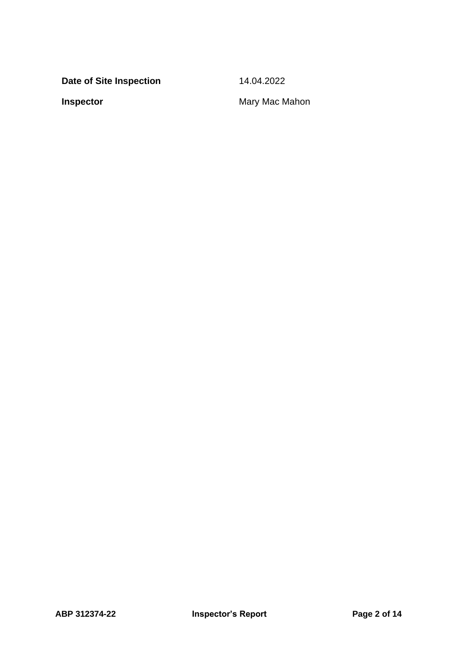**Date of Site Inspection** 14.04.2022

**Inspector** Mary Mac Mahon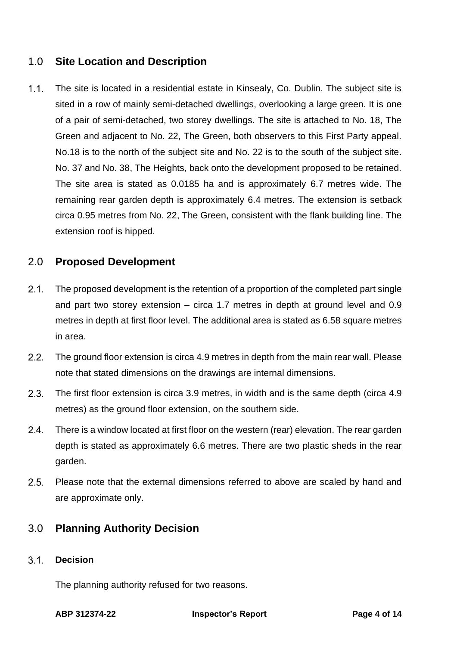## 1.0 **Site Location and Description**

 $1.1.$ The site is located in a residential estate in Kinsealy, Co. Dublin. The subject site is sited in a row of mainly semi-detached dwellings, overlooking a large green. It is one of a pair of semi-detached, two storey dwellings. The site is attached to No. 18, The Green and adjacent to No. 22, The Green, both observers to this First Party appeal. No.18 is to the north of the subject site and No. 22 is to the south of the subject site. No. 37 and No. 38, The Heights, back onto the development proposed to be retained. The site area is stated as 0.0185 ha and is approximately 6.7 metres wide. The remaining rear garden depth is approximately 6.4 metres. The extension is setback circa 0.95 metres from No. 22, The Green, consistent with the flank building line. The extension roof is hipped.

## 2.0 **Proposed Development**

- $2.1.$ The proposed development is the retention of a proportion of the completed part single and part two storey extension – circa 1.7 metres in depth at ground level and 0.9 metres in depth at first floor level. The additional area is stated as 6.58 square metres in area.
- $2.2.$ The ground floor extension is circa 4.9 metres in depth from the main rear wall. Please note that stated dimensions on the drawings are internal dimensions.
- $2.3.$ The first floor extension is circa 3.9 metres, in width and is the same depth (circa 4.9 metres) as the ground floor extension, on the southern side.
- $2.4.$ There is a window located at first floor on the western (rear) elevation. The rear garden depth is stated as approximately 6.6 metres. There are two plastic sheds in the rear garden.
- $2.5.$ Please note that the external dimensions referred to above are scaled by hand and are approximate only.

### 3.0 **Planning Authority Decision**

#### $3.1$ **Decision**

The planning authority refused for two reasons.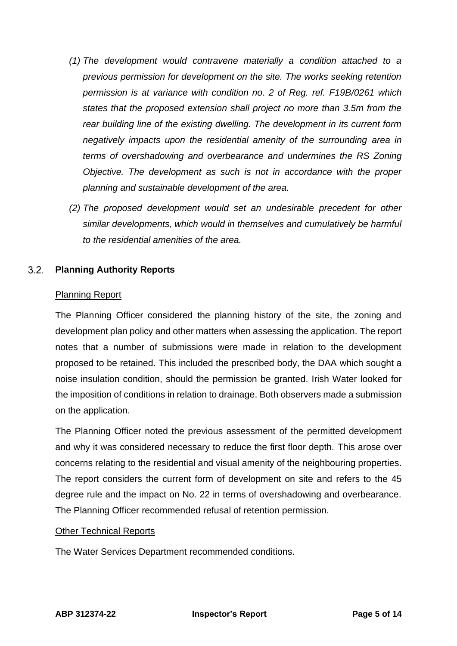- *(1) The development would contravene materially a condition attached to a previous permission for development on the site. The works seeking retention permission is at variance with condition no. 2 of Reg. ref. F19B/0261 which states that the proposed extension shall project no more than 3.5m from the rear building line of the existing dwelling. The development in its current form negatively impacts upon the residential amenity of the surrounding area in terms of overshadowing and overbearance and undermines the RS Zoning Objective. The development as such is not in accordance with the proper planning and sustainable development of the area.*
- *(2) The proposed development would set an undesirable precedent for other similar developments, which would in themselves and cumulatively be harmful to the residential amenities of the area.*

#### $3.2$ **Planning Authority Reports**

### Planning Report

The Planning Officer considered the planning history of the site, the zoning and development plan policy and other matters when assessing the application. The report notes that a number of submissions were made in relation to the development proposed to be retained. This included the prescribed body, the DAA which sought a noise insulation condition, should the permission be granted. Irish Water looked for the imposition of conditions in relation to drainage. Both observers made a submission on the application.

The Planning Officer noted the previous assessment of the permitted development and why it was considered necessary to reduce the first floor depth. This arose over concerns relating to the residential and visual amenity of the neighbouring properties. The report considers the current form of development on site and refers to the 45 degree rule and the impact on No. 22 in terms of overshadowing and overbearance. The Planning Officer recommended refusal of retention permission.

### Other Technical Reports

The Water Services Department recommended conditions.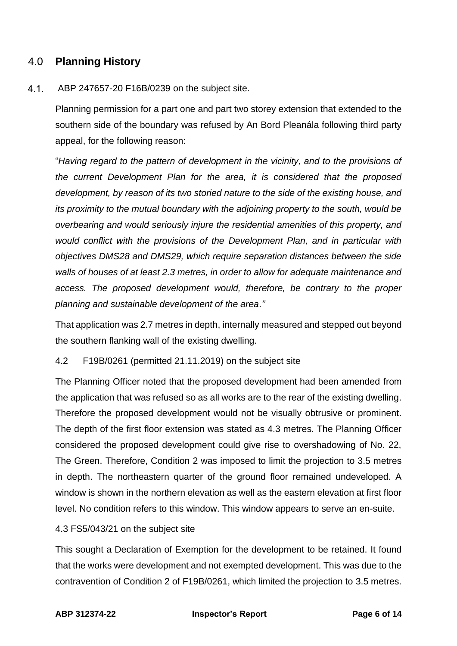### 4.0 **Planning History**

 $4.1.$ ABP 247657-20 F16B/0239 on the subject site.

> Planning permission for a part one and part two storey extension that extended to the southern side of the boundary was refused by An Bord Pleanála following third party appeal, for the following reason:

> "*Having regard to the pattern of development in the vicinity, and to the provisions of the current Development Plan for the area, it is considered that the proposed development, by reason of its two storied nature to the side of the existing house, and its proximity to the mutual boundary with the adjoining property to the south, would be overbearing and would seriously injure the residential amenities of this property, and would conflict with the provisions of the Development Plan, and in particular with objectives DMS28 and DMS29, which require separation distances between the side walls of houses of at least 2.3 metres, in order to allow for adequate maintenance and access. The proposed development would, therefore, be contrary to the proper planning and sustainable development of the area."*

> That application was 2.7 metres in depth, internally measured and stepped out beyond the southern flanking wall of the existing dwelling.

4.2 F19B/0261 (permitted 21.11.2019) on the subject site

The Planning Officer noted that the proposed development had been amended from the application that was refused so as all works are to the rear of the existing dwelling. Therefore the proposed development would not be visually obtrusive or prominent. The depth of the first floor extension was stated as 4.3 metres. The Planning Officer considered the proposed development could give rise to overshadowing of No. 22, The Green. Therefore, Condition 2 was imposed to limit the projection to 3.5 metres in depth. The northeastern quarter of the ground floor remained undeveloped. A window is shown in the northern elevation as well as the eastern elevation at first floor level. No condition refers to this window. This window appears to serve an en-suite.

### 4.3 FS5/043/21 on the subject site

This sought a Declaration of Exemption for the development to be retained. It found that the works were development and not exempted development. This was due to the contravention of Condition 2 of F19B/0261, which limited the projection to 3.5 metres.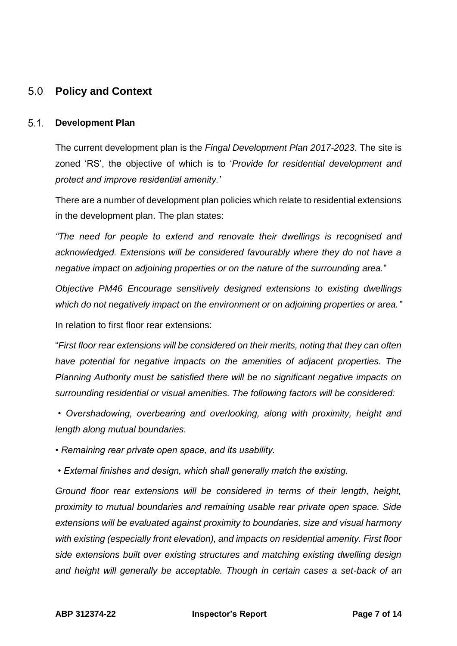# 5.0 **Policy and Context**

#### $5.1$ **Development Plan**

The current development plan is the *Fingal Development Plan 2017-2023*. The site is zoned 'RS', the objective of which is to '*Provide for residential development and protect and improve residential amenity.'*

There are a number of development plan policies which relate to residential extensions in the development plan. The plan states:

*"The need for people to extend and renovate their dwellings is recognised and acknowledged. Extensions will be considered favourably where they do not have a negative impact on adjoining properties or on the nature of the surrounding area.*"

*Objective PM46 Encourage sensitively designed extensions to existing dwellings which do not negatively impact on the environment or on adjoining properties or area."*

In relation to first floor rear extensions:

"*First floor rear extensions will be considered on their merits, noting that they can often have potential for negative impacts on the amenities of adjacent properties. The Planning Authority must be satisfied there will be no significant negative impacts on surrounding residential or visual amenities. The following factors will be considered:*

*• Overshadowing, overbearing and overlooking, along with proximity, height and length along mutual boundaries.* 

*• Remaining rear private open space, and its usability.*

*• External finishes and design, which shall generally match the existing.* 

*Ground floor rear extensions will be considered in terms of their length, height, proximity to mutual boundaries and remaining usable rear private open space. Side extensions will be evaluated against proximity to boundaries, size and visual harmony with existing (especially front elevation), and impacts on residential amenity. First floor side extensions built over existing structures and matching existing dwelling design and height will generally be acceptable. Though in certain cases a set-back of an*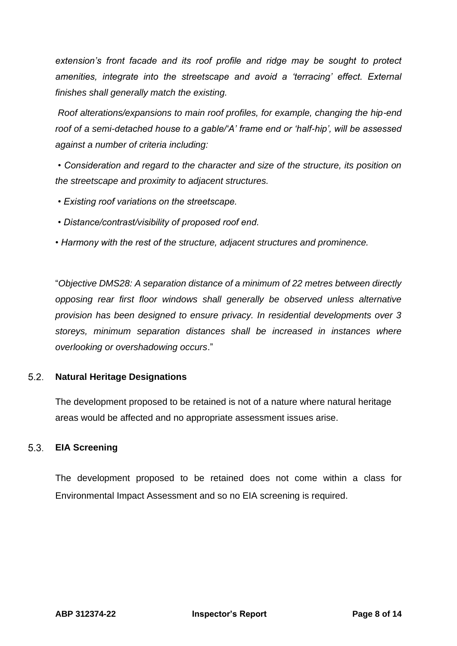*extension's front facade and its roof profile and ridge may be sought to protect amenities, integrate into the streetscape and avoid a 'terracing' effect. External finishes shall generally match the existing.*

*Roof alterations/expansions to main roof profiles, for example, changing the hip-end roof of a semi-detached house to a gable/'A' frame end or 'half-hip', will be assessed against a number of criteria including:*

*• Consideration and regard to the character and size of the structure, its position on the streetscape and proximity to adjacent structures.*

*• Existing roof variations on the streetscape.*

*• Distance/contrast/visibility of proposed roof end.* 

*• Harmony with the rest of the structure, adjacent structures and prominence.*

"*Objective DMS28: A separation distance of a minimum of 22 metres between directly opposing rear first floor windows shall generally be observed unless alternative provision has been designed to ensure privacy. In residential developments over 3 storeys, minimum separation distances shall be increased in instances where overlooking or overshadowing occurs*."

#### $5.2<sub>1</sub>$ **Natural Heritage Designations**

The development proposed to be retained is not of a nature where natural heritage areas would be affected and no appropriate assessment issues arise.

#### $5.3.$ **EIA Screening**

The development proposed to be retained does not come within a class for Environmental Impact Assessment and so no EIA screening is required.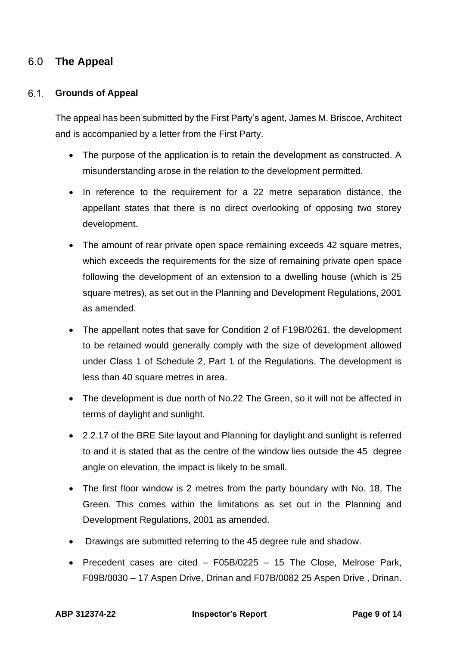## 6.0 **The Appeal**

#### $6.1.$ **Grounds of Appeal**

The appeal has been submitted by the First Party's agent, James M. Briscoe, Architect and is accompanied by a letter from the First Party.

- The purpose of the application is to retain the development as constructed. A misunderstanding arose in the relation to the development permitted.
- In reference to the requirement for a 22 metre separation distance, the appellant states that there is no direct overlooking of opposing two storey development.
- The amount of rear private open space remaining exceeds 42 square metres, which exceeds the requirements for the size of remaining private open space following the development of an extension to a dwelling house (which is 25 square metres), as set out in the Planning and Development Regulations, 2001 as amended.
- The appellant notes that save for Condition 2 of F19B/0261, the development to be retained would generally comply with the size of development allowed under Class 1 of Schedule 2, Part 1 of the Regulations. The development is less than 40 square metres in area.
- The development is due north of No.22 The Green, so it will not be affected in terms of daylight and sunlight.
- 2.2.17 of the BRE Site layout and Planning for daylight and sunlight is referred to and it is stated that as the centre of the window lies outside the 45 degree angle on elevation, the impact is likely to be small.
- The first floor window is 2 metres from the party boundary with No. 18, The Green. This comes within the limitations as set out in the Planning and Development Regulations, 2001 as amended.
- Drawings are submitted referring to the 45 degree rule and shadow.
- Precedent cases are cited F05B/0225 15 The Close, Melrose Park, F09B/0030 – 17 Aspen Drive, Drinan and F07B/0082 25 Aspen Drive , Drinan.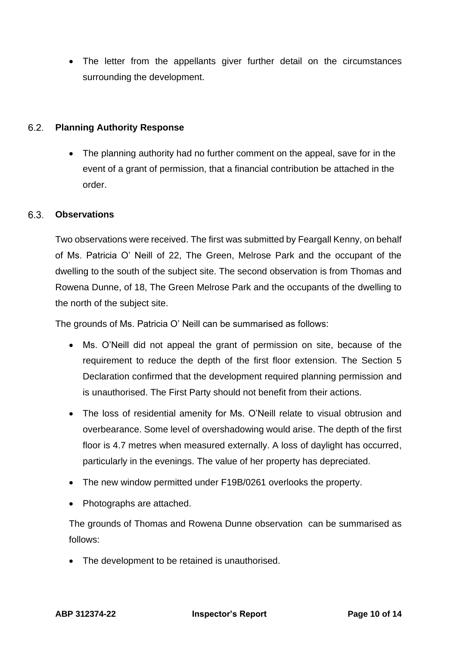• The letter from the appellants giver further detail on the circumstances surrounding the development.

#### $6.2.$ **Planning Authority Response**

• The planning authority had no further comment on the appeal, save for in the event of a grant of permission, that a financial contribution be attached in the order.

#### $6.3.$ **Observations**

Two observations were received. The first was submitted by Feargall Kenny, on behalf of Ms. Patricia O' Neill of 22, The Green, Melrose Park and the occupant of the dwelling to the south of the subject site. The second observation is from Thomas and Rowena Dunne, of 18, The Green Melrose Park and the occupants of the dwelling to the north of the subject site.

The grounds of Ms. Patricia O' Neill can be summarised as follows:

- Ms. O'Neill did not appeal the grant of permission on site, because of the requirement to reduce the depth of the first floor extension. The Section 5 Declaration confirmed that the development required planning permission and is unauthorised. The First Party should not benefit from their actions.
- The loss of residential amenity for Ms. O'Neill relate to visual obtrusion and overbearance. Some level of overshadowing would arise. The depth of the first floor is 4.7 metres when measured externally. A loss of daylight has occurred, particularly in the evenings. The value of her property has depreciated.
- The new window permitted under F19B/0261 overlooks the property.
- Photographs are attached.

The grounds of Thomas and Rowena Dunne observation can be summarised as follows:

• The development to be retained is unauthorised.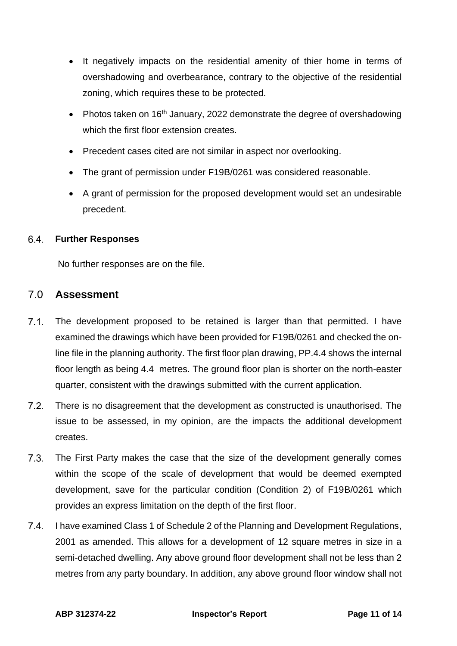- It negatively impacts on the residential amenity of thier home in terms of overshadowing and overbearance, contrary to the objective of the residential zoning, which requires these to be protected.
- Photos taken on 16<sup>th</sup> January, 2022 demonstrate the degree of overshadowing which the first floor extension creates.
- Precedent cases cited are not similar in aspect nor overlooking.
- The grant of permission under F19B/0261 was considered reasonable.
- A grant of permission for the proposed development would set an undesirable precedent.

#### $6.4.$ **Further Responses**

No further responses are on the file.

### 7.0 **Assessment**

- $7.1.$ The development proposed to be retained is larger than that permitted. I have examined the drawings which have been provided for F19B/0261 and checked the online file in the planning authority. The first floor plan drawing, PP.4.4 shows the internal floor length as being 4.4 metres. The ground floor plan is shorter on the north-easter quarter, consistent with the drawings submitted with the current application.
- $7.2.$ There is no disagreement that the development as constructed is unauthorised. The issue to be assessed, in my opinion, are the impacts the additional development creates.
- $7.3.$ The First Party makes the case that the size of the development generally comes within the scope of the scale of development that would be deemed exempted development, save for the particular condition (Condition 2) of F19B/0261 which provides an express limitation on the depth of the first floor.
- $7.4$ I have examined Class 1 of Schedule 2 of the Planning and Development Regulations, 2001 as amended. This allows for a development of 12 square metres in size in a semi-detached dwelling. Any above ground floor development shall not be less than 2 metres from any party boundary. In addition, any above ground floor window shall not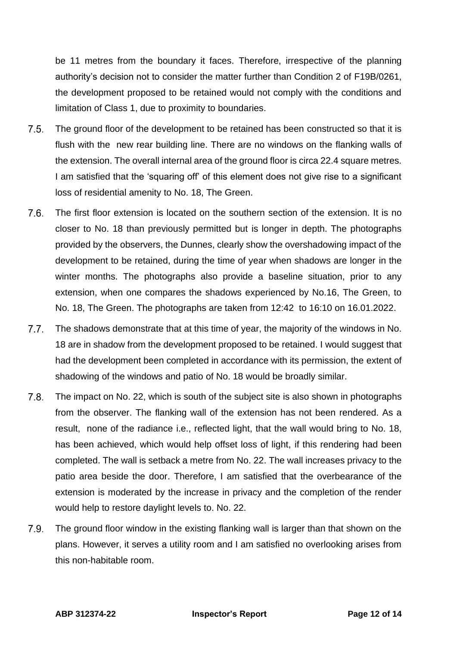be 11 metres from the boundary it faces. Therefore, irrespective of the planning authority's decision not to consider the matter further than Condition 2 of F19B/0261, the development proposed to be retained would not comply with the conditions and limitation of Class 1, due to proximity to boundaries.

- $7.5.$ The ground floor of the development to be retained has been constructed so that it is flush with the new rear building line. There are no windows on the flanking walls of the extension. The overall internal area of the ground floor is circa 22.4 square metres. I am satisfied that the 'squaring off' of this element does not give rise to a significant loss of residential amenity to No. 18, The Green.
- $7.6.$ The first floor extension is located on the southern section of the extension. It is no closer to No. 18 than previously permitted but is longer in depth. The photographs provided by the observers, the Dunnes, clearly show the overshadowing impact of the development to be retained, during the time of year when shadows are longer in the winter months. The photographs also provide a baseline situation, prior to any extension, when one compares the shadows experienced by No.16, The Green, to No. 18, The Green. The photographs are taken from 12:42 to 16:10 on 16.01.2022.
- $7.7.$ The shadows demonstrate that at this time of year, the majority of the windows in No. 18 are in shadow from the development proposed to be retained. I would suggest that had the development been completed in accordance with its permission, the extent of shadowing of the windows and patio of No. 18 would be broadly similar.
- $7.8$ The impact on No. 22, which is south of the subject site is also shown in photographs from the observer. The flanking wall of the extension has not been rendered. As a result, none of the radiance i.e., reflected light, that the wall would bring to No. 18, has been achieved, which would help offset loss of light, if this rendering had been completed. The wall is setback a metre from No. 22. The wall increases privacy to the patio area beside the door. Therefore, I am satisfied that the overbearance of the extension is moderated by the increase in privacy and the completion of the render would help to restore daylight levels to. No. 22.
- $7.9.$ The ground floor window in the existing flanking wall is larger than that shown on the plans. However, it serves a utility room and I am satisfied no overlooking arises from this non-habitable room.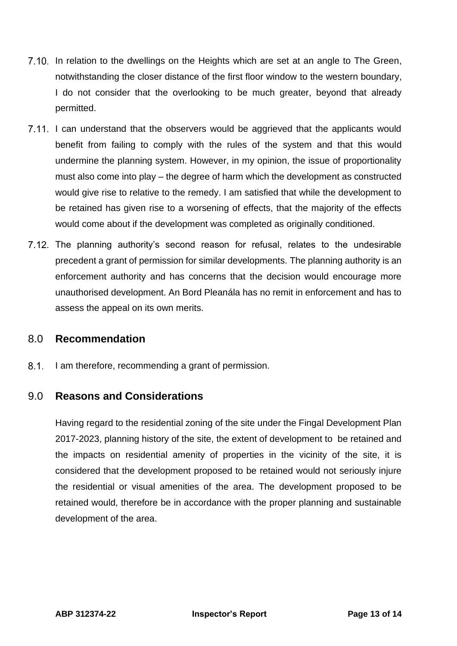- 7.10. In relation to the dwellings on the Heights which are set at an angle to The Green, notwithstanding the closer distance of the first floor window to the western boundary, I do not consider that the overlooking to be much greater, beyond that already permitted.
- 7.11. I can understand that the observers would be aggrieved that the applicants would benefit from failing to comply with the rules of the system and that this would undermine the planning system. However, in my opinion, the issue of proportionality must also come into play – the degree of harm which the development as constructed would give rise to relative to the remedy. I am satisfied that while the development to be retained has given rise to a worsening of effects, that the majority of the effects would come about if the development was completed as originally conditioned.
- The planning authority's second reason for refusal, relates to the undesirable precedent a grant of permission for similar developments. The planning authority is an enforcement authority and has concerns that the decision would encourage more unauthorised development. An Bord Pleanála has no remit in enforcement and has to assess the appeal on its own merits.

### 8.0 **Recommendation**

 $8.1.$ I am therefore, recommending a grant of permission.

### 9.0 **Reasons and Considerations**

Having regard to the residential zoning of the site under the Fingal Development Plan 2017-2023, planning history of the site, the extent of development to be retained and the impacts on residential amenity of properties in the vicinity of the site, it is considered that the development proposed to be retained would not seriously injure the residential or visual amenities of the area. The development proposed to be retained would, therefore be in accordance with the proper planning and sustainable development of the area.